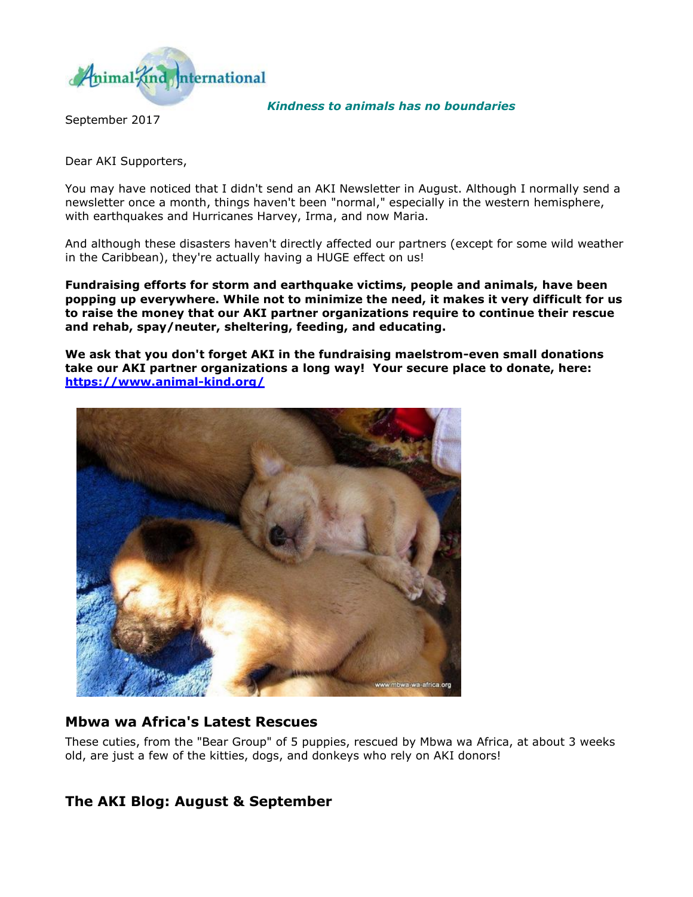

*Kindness to animals has no boundaries* 

September 2017

Dear AKI Supporters,

You may have noticed that I didn't send an AKI Newsletter in August. Although I normally send a newsletter once a month, things haven't been "normal," especially in the western hemisphere, with earthquakes and Hurricanes Harvey, Irma, and now Maria.

And although these disasters haven't directly affected our partners (except for some wild weather in the Caribbean), they're actually having a HUGE effect on us!

**Fundraising efforts for storm and earthquake victims, people and animals, have been popping up everywhere. While not to minimize the need, it makes it very difficult for us to raise the money that our AKI partner organizations require to continue their rescue and rehab, spay/neuter, sheltering, feeding, and educating.** 

**We ask that you don't forget AKI in the fundraising maelstrom-even small donations take our AKI partner organizations a long way! Your secure place to donate, here: <https://www.animal-kind.org/>**



### **Mbwa wa Africa's Latest Rescues**

These cuties, from the "Bear Group" of 5 puppies, rescued by Mbwa wa Africa, at about 3 weeks old, are just a few of the kitties, dogs, and donkeys who rely on AKI donors!

## **The AKI Blog: August & September**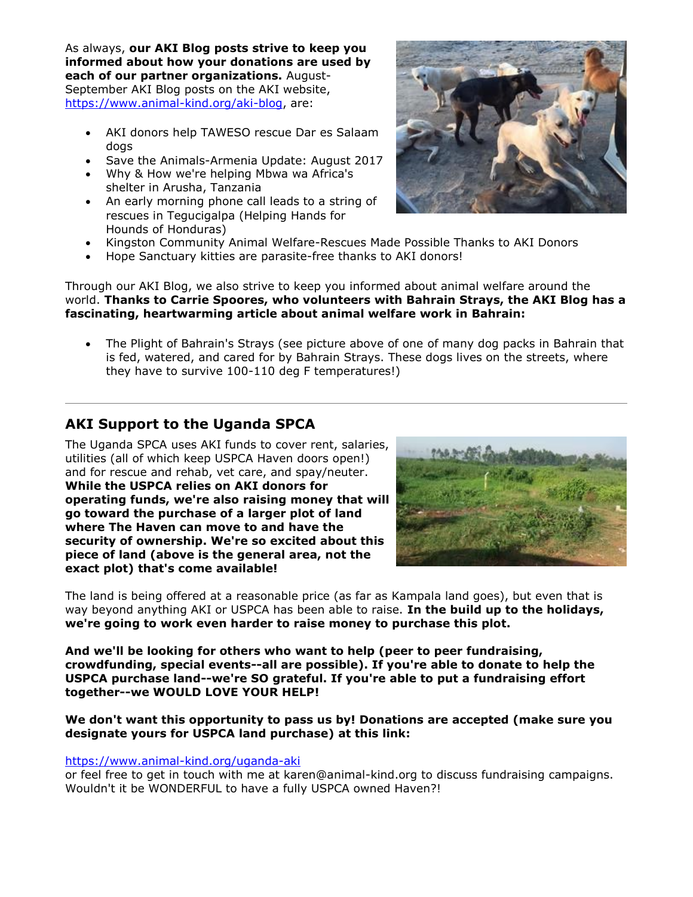As always, **our AKI Blog posts strive to keep you informed about how your donations are used by each of our partner organizations.** August-September AKI Blog posts on the AKI website, [https://www.animal-kind.org/aki-blog,](https://www.animal-kind.org/aki-blog) are:

- AKI donors help TAWESO rescue Dar es Salaam dogs
- Save the Animals-Armenia Update: August 2017
- Why & How we're helping Mbwa wa Africa's shelter in Arusha, Tanzania
- An early morning phone call leads to a string of rescues in Tegucigalpa (Helping Hands for Hounds of Honduras)
- Kingston Community Animal Welfare-Rescues Made Possible Thanks to AKI Donors
- Hope Sanctuary kitties are parasite-free thanks to AKI donors!

Through our AKI Blog, we also strive to keep you informed about animal welfare around the world. **Thanks to Carrie Spoores, who volunteers with Bahrain Strays, the AKI Blog has a fascinating, heartwarming article about animal welfare work in Bahrain:** 

 The Plight of Bahrain's Strays (see picture above of one of many dog packs in Bahrain that is fed, watered, and cared for by Bahrain Strays. These dogs lives on the streets, where they have to survive 100-110 deg F temperatures!)

# **AKI Support to the Uganda SPCA**

The Uganda SPCA uses AKI funds to cover rent, salaries, utilities (all of which keep USPCA Haven doors open!) and for rescue and rehab, vet care, and spay/neuter. **While the USPCA relies on AKI donors for operating funds, we're also raising money that will go toward the purchase of a larger plot of land where The Haven can move to and have the security of ownership. We're so excited about this piece of land (above is the general area, not the exact plot) that's come available!**

The land is being offered at a reasonable price (as far as Kampala land goes), but even that is way beyond anything AKI or USPCA has been able to raise. **In the build up to the holidays, we're going to work even harder to raise money to purchase this plot.** 

**And we'll be looking for others who want to help (peer to peer fundraising, crowdfunding, special events--all are possible). If you're able to donate to help the USPCA purchase land--we're SO grateful. If you're able to put a fundraising effort together--we WOULD LOVE YOUR HELP!** 

#### **We don't want this opportunity to pass us by! Donations are accepted (make sure you designate yours for USPCA land purchase) at this link:**

#### <https://www.animal-kind.org/uganda-aki>

or feel free to get in touch with me at karen@animal-kind.org to discuss fundraising campaigns. Wouldn't it be WONDERFUL to have a fully USPCA owned Haven?!